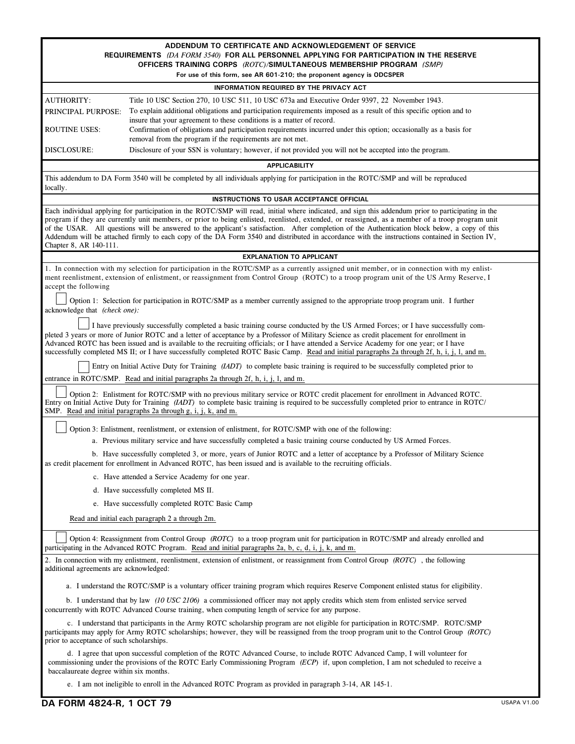| ADDENDUM TO CERTIFICATE AND ACKNOWLEDGEMENT OF SERVICE<br>REQUIREMENTS (DA FORM 3540) FOR ALL PERSONNEL APPLYING FOR PARTICIPATION IN THE RESERVE<br>OFFICERS TRAINING CORPS (ROTC)/SIMULTANEOUS MEMBERSHIP PROGRAM (SMP)<br>For use of this form, see AR 601-210; the proponent agency is ODCSPER                                                                                                                                                                                                                                                                                                                                     |                                                                                                                                                                                              |  |  |
|----------------------------------------------------------------------------------------------------------------------------------------------------------------------------------------------------------------------------------------------------------------------------------------------------------------------------------------------------------------------------------------------------------------------------------------------------------------------------------------------------------------------------------------------------------------------------------------------------------------------------------------|----------------------------------------------------------------------------------------------------------------------------------------------------------------------------------------------|--|--|
|                                                                                                                                                                                                                                                                                                                                                                                                                                                                                                                                                                                                                                        | INFORMATION REQUIRED BY THE PRIVACY ACT                                                                                                                                                      |  |  |
| <b>AUTHORITY:</b>                                                                                                                                                                                                                                                                                                                                                                                                                                                                                                                                                                                                                      | Title 10 USC Section 270, 10 USC 511, 10 USC 673a and Executive Order 9397, 22 November 1943.                                                                                                |  |  |
| PRINCIPAL PURPOSE:                                                                                                                                                                                                                                                                                                                                                                                                                                                                                                                                                                                                                     | To explain additional obligations and participation requirements imposed as a result of this specific option and to<br>insure that your agreement to these conditions is a matter of record. |  |  |
| ROUTINE USES:                                                                                                                                                                                                                                                                                                                                                                                                                                                                                                                                                                                                                          | Confirmation of obligations and participation requirements incurred under this option; occasionally as a basis for<br>removal from the program if the requirements are not met.              |  |  |
| DISCLOSURE:                                                                                                                                                                                                                                                                                                                                                                                                                                                                                                                                                                                                                            | Disclosure of your SSN is voluntary; however, if not provided you will not be accepted into the program.                                                                                     |  |  |
| <b>APPLICABILITY</b>                                                                                                                                                                                                                                                                                                                                                                                                                                                                                                                                                                                                                   |                                                                                                                                                                                              |  |  |
| This addendum to DA Form 3540 will be completed by all individuals applying for participation in the ROTC/SMP and will be reproduced<br>locally.                                                                                                                                                                                                                                                                                                                                                                                                                                                                                       |                                                                                                                                                                                              |  |  |
| INSTRUCTIONS TO USAR ACCEPTANCE OFFICIAL                                                                                                                                                                                                                                                                                                                                                                                                                                                                                                                                                                                               |                                                                                                                                                                                              |  |  |
| Each individual applying for participation in the ROTC/SMP will read, initial where indicated, and sign this addendum prior to participating in the<br>program if they are currently unit members, or prior to being enlisted, reenlisted, extended, or reassigned, as a member of a troop program unit<br>of the USAR. All questions will be answered to the applicant's satisfaction. After completion of the Authentication block below, a copy of this<br>Addendum will be attached firmly to each copy of the DA Form 3540 and distributed in accordance with the instructions contained in Section IV,<br>Chapter 8, AR 140-111. |                                                                                                                                                                                              |  |  |
|                                                                                                                                                                                                                                                                                                                                                                                                                                                                                                                                                                                                                                        | <b>EXPLANATION TO APPLICANT</b>                                                                                                                                                              |  |  |
| 1. In connection with my selection for participation in the ROTC/SMP as a currently assigned unit member, or in connection with my enlist-<br>ment reenlistment, extension of enlistment, or reassignment from Control Group (ROTC) to a troop program unit of the US Army Reserve, I<br>accept the following                                                                                                                                                                                                                                                                                                                          |                                                                                                                                                                                              |  |  |
| Option 1: Selection for participation in ROTC/SMP as a member currently assigned to the appropriate troop program unit. I further<br>acknowledge that (check one):                                                                                                                                                                                                                                                                                                                                                                                                                                                                     |                                                                                                                                                                                              |  |  |
| I have previously successfully completed a basic training course conducted by the US Armed Forces; or I have successfully com-<br>pleted 3 years or more of Junior ROTC and a letter of acceptance by a Professor of Military Science as credit placement for enrollment in<br>Advanced ROTC has been issued and is available to the recruiting officials; or I have attended a Service Academy for one year; or I have<br>successfully completed MS II; or I have successfully completed ROTC Basic Camp. Read and initial paragraphs 2a through 2f, h, i, j, l, and m.                                                               |                                                                                                                                                                                              |  |  |
| Entry on Initial Active Duty for Training ( <i>IADT</i> ) to complete basic training is required to be successfully completed prior to                                                                                                                                                                                                                                                                                                                                                                                                                                                                                                 |                                                                                                                                                                                              |  |  |
| entrance in ROTC/SMP. Read and initial paragraphs 2a through 2f, h, i, j, l, and m.                                                                                                                                                                                                                                                                                                                                                                                                                                                                                                                                                    |                                                                                                                                                                                              |  |  |
| Option 2: Enlistment for ROTC/SMP with no previous military service or ROTC credit placement for enrollment in Advanced ROTC.<br>Entry on Initial Active Duty for Training (IADT) to complete basic training is required to be successfully completed prior to entrance in ROTC/<br>SMP. Read and initial paragraphs 2a through g, i, j, k, and m.                                                                                                                                                                                                                                                                                     |                                                                                                                                                                                              |  |  |
|                                                                                                                                                                                                                                                                                                                                                                                                                                                                                                                                                                                                                                        | Option 3: Enlistment, reenlistment, or extension of enlistment, for ROTC/SMP with one of the following:                                                                                      |  |  |
|                                                                                                                                                                                                                                                                                                                                                                                                                                                                                                                                                                                                                                        | a. Previous military service and have successfully completed a basic training course conducted by US Armed Forces.                                                                           |  |  |
| b. Have successfully completed 3, or more, years of Junior ROTC and a letter of acceptance by a Professor of Military Science<br>as credit placement for enrollment in Advanced ROTC, has been issued and is available to the recruiting officials.                                                                                                                                                                                                                                                                                                                                                                                    |                                                                                                                                                                                              |  |  |
|                                                                                                                                                                                                                                                                                                                                                                                                                                                                                                                                                                                                                                        | c. Have attended a Service Academy for one year.                                                                                                                                             |  |  |
|                                                                                                                                                                                                                                                                                                                                                                                                                                                                                                                                                                                                                                        | d. Have successfully completed MS II.                                                                                                                                                        |  |  |
|                                                                                                                                                                                                                                                                                                                                                                                                                                                                                                                                                                                                                                        | e. Have successfully completed ROTC Basic Camp                                                                                                                                               |  |  |
| Read and initial each paragraph 2 a through 2m.                                                                                                                                                                                                                                                                                                                                                                                                                                                                                                                                                                                        |                                                                                                                                                                                              |  |  |
| Option 4: Reassignment from Control Group (ROTC) to a troop program unit for participation in ROTC/SMP and already enrolled and<br>participating in the Advanced ROTC Program. Read and initial paragraphs 2a, b, c, d, i, j, k, and m.                                                                                                                                                                                                                                                                                                                                                                                                |                                                                                                                                                                                              |  |  |
| 2. In connection with my enlistment, reenlistment, extension of enlistment, or reassignment from Control Group (ROTC), the following<br>additional agreements are acknowledged:                                                                                                                                                                                                                                                                                                                                                                                                                                                        |                                                                                                                                                                                              |  |  |
| a. I understand the ROTC/SMP is a voluntary officer training program which requires Reserve Component enlisted status for eligibility.                                                                                                                                                                                                                                                                                                                                                                                                                                                                                                 |                                                                                                                                                                                              |  |  |
| b. I understand that by law (10 USC 2106) a commissioned officer may not apply credits which stem from enlisted service served<br>concurrently with ROTC Advanced Course training, when computing length of service for any purpose.                                                                                                                                                                                                                                                                                                                                                                                                   |                                                                                                                                                                                              |  |  |
| c. I understand that participants in the Army ROTC scholarship program are not eligible for participation in ROTC/SMP. ROTC/SMP<br>participants may apply for Army ROTC scholarships; however, they will be reassigned from the troop program unit to the Control Group (ROTC)<br>prior to acceptance of such scholarships.                                                                                                                                                                                                                                                                                                            |                                                                                                                                                                                              |  |  |
| d. I agree that upon successful completion of the ROTC Advanced Course, to include ROTC Advanced Camp, I will volunteer for<br>commissioning under the provisions of the ROTC Early Commissioning Program (ECP) if, upon completion, I am not scheduled to receive a<br>baccalaureate degree within six months.                                                                                                                                                                                                                                                                                                                        |                                                                                                                                                                                              |  |  |
| e. I am not ineligible to enroll in the Advanced ROTC Program as provided in paragraph 3-14, AR 145-1.                                                                                                                                                                                                                                                                                                                                                                                                                                                                                                                                 |                                                                                                                                                                                              |  |  |